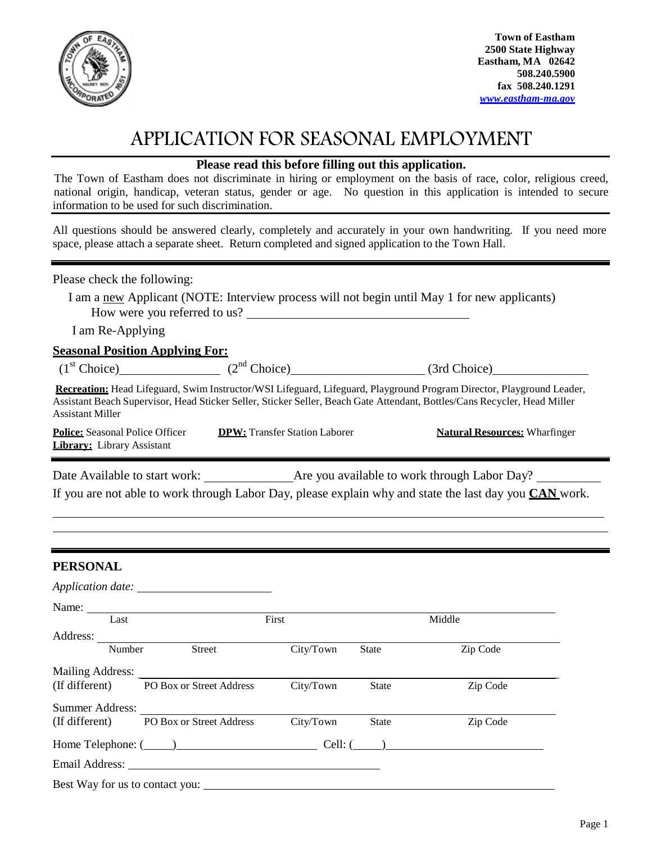

# APPLICATION FOR SEASONAL EMPLOYMENT

### **Please read this before filling out this application.**

The Town of Eastham does not discriminate in hiring or employment on the basis of race, color, religious creed, national origin, handicap, veteran status, gender or age. No question in this application is intended to secure information to be used for such discrimination.

All questions should be answered clearly, completely and accurately in your own handwriting. If you need more space, please attach a separate sheet. Return completed and signed application to the Town Hall.

|                         | Please check the following:            |                  |                                                                             |              |                                                                                                                                                                                                                                                    |  |
|-------------------------|----------------------------------------|------------------|-----------------------------------------------------------------------------|--------------|----------------------------------------------------------------------------------------------------------------------------------------------------------------------------------------------------------------------------------------------------|--|
|                         |                                        |                  | How were you referred to us?                                                |              | I am a new Applicant (NOTE: Interview process will not begin until May 1 for new applicants)                                                                                                                                                       |  |
|                         | I am Re-Applying                       |                  |                                                                             |              |                                                                                                                                                                                                                                                    |  |
|                         | <b>Seasonal Position Applying For:</b> |                  |                                                                             |              |                                                                                                                                                                                                                                                    |  |
|                         |                                        |                  |                                                                             |              | $(1st Choice)$ (2 <sup>nd</sup> Choice) (3rd Choice) (3rd Choice)                                                                                                                                                                                  |  |
| <b>Assistant Miller</b> |                                        |                  |                                                                             |              | Recreation: Head Lifeguard, Swim Instructor/WSI Lifeguard, Lifeguard, Playground Program Director, Playground Leader,<br>Assistant Beach Supervisor, Head Sticker Seller, Sticker Seller, Beach Gate Attendant, Bottles/Cans Recycler, Head Miller |  |
|                         | <b>Library:</b> Library Assistant      |                  | <b>Police:</b> Seasonal Police Officer <b>DPW:</b> Transfer Station Laborer |              | <b>Natural Resources: Wharfinger</b>                                                                                                                                                                                                               |  |
|                         |                                        |                  |                                                                             |              |                                                                                                                                                                                                                                                    |  |
|                         |                                        |                  |                                                                             |              | If you are not able to work through Labor Day, please explain why and state the last day you CAN work.                                                                                                                                             |  |
|                         |                                        |                  |                                                                             |              |                                                                                                                                                                                                                                                    |  |
|                         |                                        |                  |                                                                             |              |                                                                                                                                                                                                                                                    |  |
| <b>PERSONAL</b>         |                                        |                  |                                                                             |              |                                                                                                                                                                                                                                                    |  |
|                         |                                        |                  |                                                                             |              |                                                                                                                                                                                                                                                    |  |
|                         |                                        | Name: Last First |                                                                             |              |                                                                                                                                                                                                                                                    |  |
|                         |                                        |                  |                                                                             |              | Middle                                                                                                                                                                                                                                             |  |
| Address:                | Number                                 | <b>Street</b>    | City/Town                                                                   | <b>State</b> | Zip Code                                                                                                                                                                                                                                           |  |

| Number                          | <b>Street</b>            | City/Town | State        | Zip Code |
|---------------------------------|--------------------------|-----------|--------------|----------|
| <b>Mailing Address:</b>         |                          |           |              |          |
| (If different)                  | PO Box or Street Address | City/Town | State        | Zip Code |
| Summer Address:                 |                          |           |              |          |
| (If different)                  | PO Box or Street Address | City/Town | <b>State</b> | Zip Code |
|                                 | Home Telephone: $(\_\_)$ | Cell: (   |              |          |
| Email Address:                  |                          |           |              |          |
| Best Way for us to contact you: |                          |           |              |          |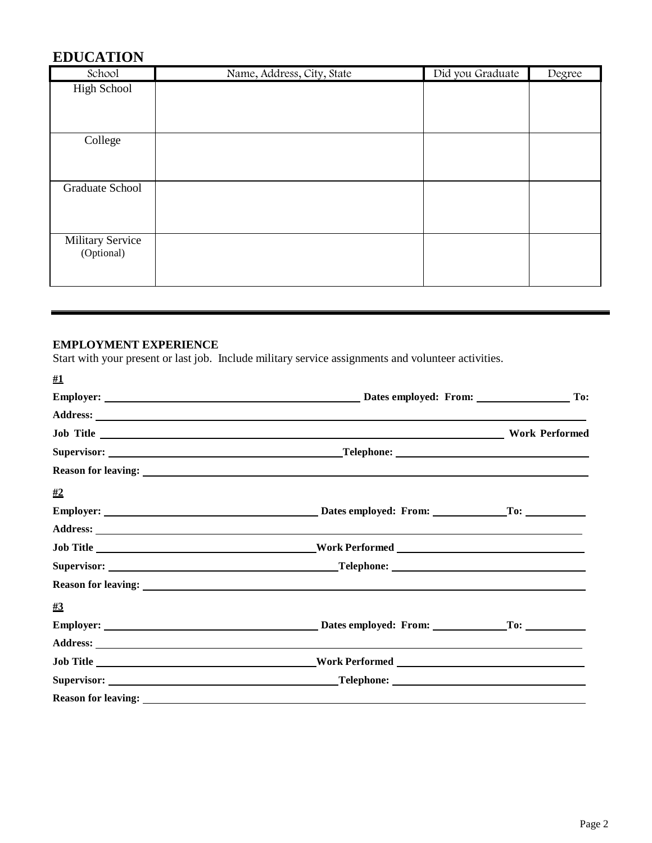## **EDUCATION**

| School                  | Name, Address, City, State | Did you Graduate | Degree |
|-------------------------|----------------------------|------------------|--------|
| High School             |                            |                  |        |
|                         |                            |                  |        |
|                         |                            |                  |        |
| College                 |                            |                  |        |
|                         |                            |                  |        |
|                         |                            |                  |        |
| Graduate School         |                            |                  |        |
|                         |                            |                  |        |
|                         |                            |                  |        |
| <b>Military Service</b> |                            |                  |        |
| (Optional)              |                            |                  |        |
|                         |                            |                  |        |
|                         |                            |                  |        |

### **EMPLOYMENT EXPERIENCE**

Start with your present or last job. Include military service assignments and volunteer activities.

| #1 |                                                                                                                                                                                                                                      |  |
|----|--------------------------------------------------------------------------------------------------------------------------------------------------------------------------------------------------------------------------------------|--|
|    |                                                                                                                                                                                                                                      |  |
|    |                                                                                                                                                                                                                                      |  |
|    |                                                                                                                                                                                                                                      |  |
|    |                                                                                                                                                                                                                                      |  |
|    |                                                                                                                                                                                                                                      |  |
| #2 |                                                                                                                                                                                                                                      |  |
|    |                                                                                                                                                                                                                                      |  |
|    |                                                                                                                                                                                                                                      |  |
|    |                                                                                                                                                                                                                                      |  |
|    |                                                                                                                                                                                                                                      |  |
|    | Reason for leaving: <u>example and the set of the set of the set of the set of the set of the set of the set of the set of the set of the set of the set of the set of the set of the set of the set of the set of the set of th</u> |  |
| #3 |                                                                                                                                                                                                                                      |  |
|    |                                                                                                                                                                                                                                      |  |
|    |                                                                                                                                                                                                                                      |  |
|    | Job Title North Performed                                                                                                                                                                                                            |  |
|    |                                                                                                                                                                                                                                      |  |
|    |                                                                                                                                                                                                                                      |  |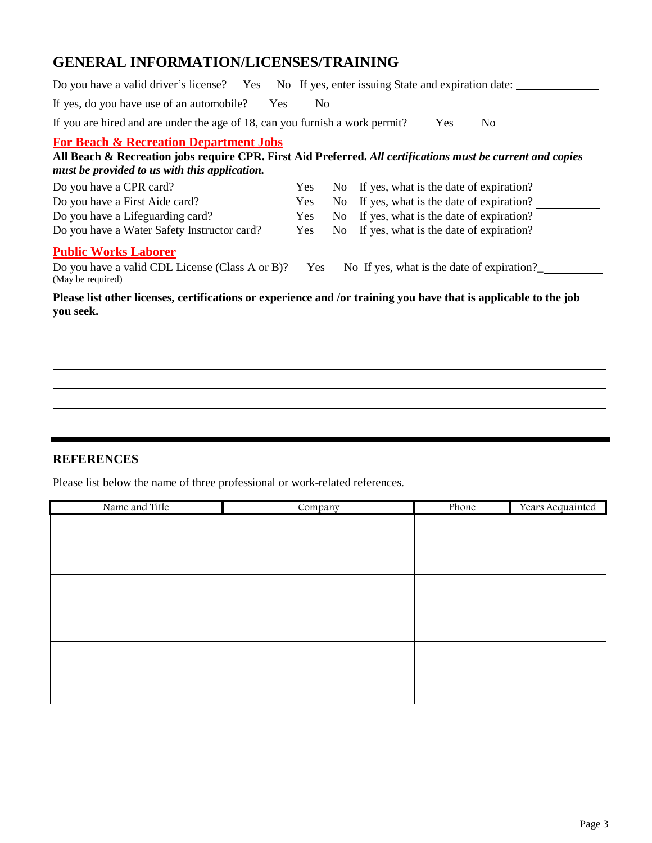## **GENERAL INFORMATION/LICENSES/TRAINING**

| Do you have a valid driver's license? Yes No If yes, enter issuing State and expiration date:                                                                                                                     |                |      |                                            |
|-------------------------------------------------------------------------------------------------------------------------------------------------------------------------------------------------------------------|----------------|------|--------------------------------------------|
| If yes, do you have use of an automobile?<br>Yes                                                                                                                                                                  | N <sub>0</sub> |      |                                            |
| If you are hired and are under the age of 18, can you furnish a work permit?                                                                                                                                      |                |      | N <sub>0</sub><br><b>Yes</b>               |
| <b>For Beach &amp; Recreation Department Jobs</b><br>All Beach & Recreation jobs require CPR. First Aid Preferred. All certifications must be current and copies<br>must be provided to us with this application. |                |      |                                            |
| Do you have a CPR card?                                                                                                                                                                                           | <b>Yes</b>     | No.  | If yes, what is the date of expiration?    |
| Do you have a First Aide card?                                                                                                                                                                                    | Yes.           | No.  | If yes, what is the date of expiration?    |
| Do you have a Lifeguarding card?                                                                                                                                                                                  | Yes            | No . | If yes, what is the date of expiration?    |
| Do you have a Water Safety Instructor card?                                                                                                                                                                       | Yes            | No.  | If yes, what is the date of expiration?    |
| <b>Public Works Laborer</b>                                                                                                                                                                                       |                |      |                                            |
| Do you have a valid CDL License (Class A or B)?<br>(May be required)                                                                                                                                              | Yes            |      | No If yes, what is the date of expiration? |
| Please list other licenses, certifications or experience and /or training you have that is applicable to the job<br>you seek.                                                                                     |                |      |                                            |
|                                                                                                                                                                                                                   |                |      |                                            |
|                                                                                                                                                                                                                   |                |      |                                            |
|                                                                                                                                                                                                                   |                |      |                                            |

## **REFERENCES**

Please list below the name of three professional or work-related references.

| Name and Title | Company | Phone | Years Acquainted |
|----------------|---------|-------|------------------|
|                |         |       |                  |
|                |         |       |                  |
|                |         |       |                  |
|                |         |       |                  |
|                |         |       |                  |
|                |         |       |                  |
|                |         |       |                  |
|                |         |       |                  |
|                |         |       |                  |
|                |         |       |                  |
|                |         |       |                  |
|                |         |       |                  |
|                |         |       |                  |